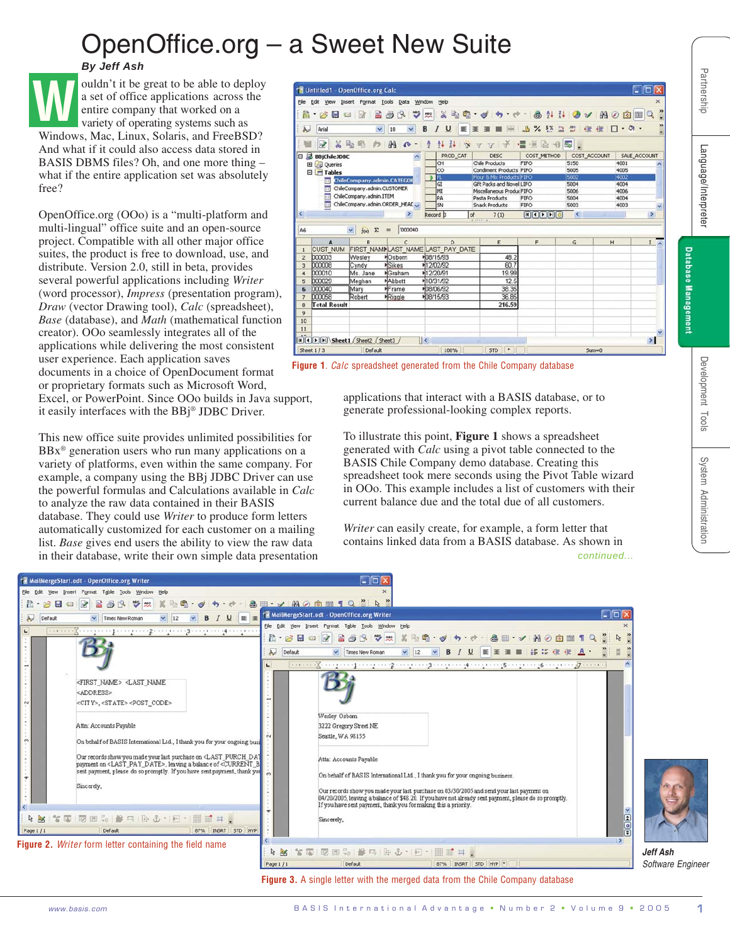## OpenOffice.org – a Sweet New Suite

## *By Jeff Ash*



OpenOffice.org (OOo) is a "multi-platform and multi-lingual" office suite and an open-source project. Compatible with all other major office suites, the product is free to download, use, and distribute. Version 2.0, still in beta, provides several powerful applications including *Writer* (word processor), *Impress* (presentation program), *Draw* (vector Drawing tool), *Calc* (spreadsheet), *Base* (database), and *Math* (mathematical function creator). OOo seamlessly integrates all of the applications while delivering the most consistent user experience. Each application saves documents in a choice of OpenDocument format or proprietary formats such as Microsoft Word, Excel, or PowerPoint. Since OOo builds in Java support, it easily interfaces with the BBj® JDBC Driver.

This new office suite provides unlimited possibilities for  $BBx^{\circ}$  generation users who run many applications on a variety of platforms, even within the same company. For example, a company using the BBj JDBC Driver can use the powerful formulas and Calculations available in *Calc* to analyze the raw data contained in their BASIS database. They could use *Writer* to produce form letters automatically customized for each customer on a mailing list. *Base* gives end users the ability to view the raw data in their database, write their own simple data presentation



**Figure 1**. *Calc* spreadsheet generated from the Chile Company database

applications that interact with a BASIS database, or to generate professional-looking complex reports.

To illustrate this point, **Figure 1** shows a spreadsheet generated with *Calc* using a pivot table connected to the BASIS Chile Company demo database. Creating this spreadsheet took mere seconds using the Pivot Table wizard in OOo. This example includes a list of customers with their current balance due and the total due of all customers.

*Writer* can easily create, for example, a form letter that contains linked data from a BASIS database. As shown in *continued...*



**Figure 3.** A single letter with the merged data from the Chile Company database